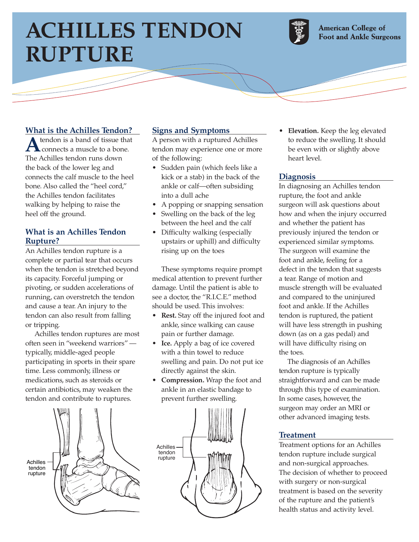# **ACHILLES TENDON RUPTURE**

المستشهد



**American College of Foot and Ankle Surgeons** 

# **What is the Achilles Tendon?**

**A**tendon is a band of tissue that connects a muscle to a bone. The Achilles tendon runs down the back of the lower leg and connects the calf muscle to the heel bone. Also called the "heel cord," the Achilles tendon facilitates walking by helping to raise the heel off the ground.

## **What is an Achilles Tendon Rupture?**

An Achilles tendon rupture is a complete or partial tear that occurs when the tendon is stretched beyond its capacity. Forceful jumping or pivoting, or sudden accelerations of running, can overstretch the tendon and cause a tear. An injury to the tendon can also result from falling or tripping.

Achilles tendon ruptures are most often seen in "weekend warriors" typically, middle-aged people participating in sports in their spare time. Less commonly, illness or medications, such as steroids or certain antibiotics, may weaken the tendon and contribute to ruptures.



## **Signs and Symptoms**

A person with a ruptured Achilles tendon may experience one or more of the following:

- Sudden pain (which feels like a kick or a stab) in the back of the ankle or calf—often subsiding into a dull ache
- A popping or snapping sensation
- Swelling on the back of the leg between the heel and the calf
- Difficulty walking (especially upstairs or uphill) and difficulty rising up on the toes

These symptoms require prompt medical attention to prevent further damage. Until the patient is able to see a doctor, the "R.I.C.E." method should be used. This involves:

- **Rest.** Stay off the injured foot and ankle, since walking can cause pain or further damage.
- **Ice.** Apply a bag of ice covered with a thin towel to reduce swelling and pain. Do not put ice directly against the skin.
- **Compression.** Wrap the foot and ankle in an elastic bandage to prevent further swelling.



• **Elevation.** Keep the leg elevated to reduce the swelling. It should be even with or slightly above heart level.

### **Diagnosis**

In diagnosing an Achilles tendon rupture, the foot and ankle surgeon will ask questions about how and when the injury occurred and whether the patient has previously injured the tendon or experienced similar symptoms. The surgeon will examine the foot and ankle, feeling for a defect in the tendon that suggests a tear. Range of motion and muscle strength will be evaluated and compared to the uninjured foot and ankle. If the Achilles tendon is ruptured, the patient will have less strength in pushing down (as on a gas pedal) and will have difficulty rising on the toes.

The diagnosis of an Achilles tendon rupture is typically straightforward and can be made through this type of examination. In some cases, however, the surgeon may order an MRI or other advanced imaging tests.

### **Treatment**

Treatment options for an Achilles tendon rupture include surgical and non-surgical approaches. The decision of whether to proceed with surgery or non-surgical treatment is based on the severity of the rupture and the patient's health status and activity level.